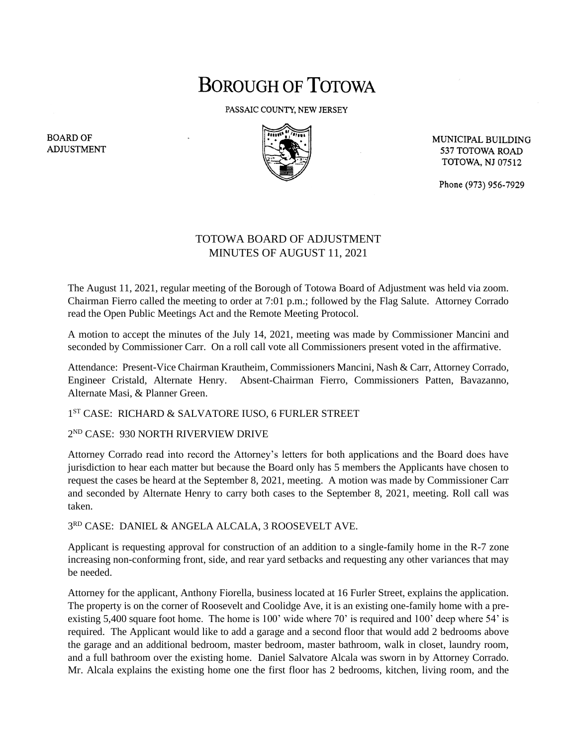## **BOROUGH OF TOTOWA**

PASSAIC COUNTY, NEW JERSEY



MUNICIPAL BUILDING 537 TOTOWA ROAD **TOTOWA, NJ 07512** 

Phone (973) 956-7929

## TOTOWA BOARD OF ADJUSTMENT MINUTES OF AUGUST 11, 2021

The August 11, 2021, regular meeting of the Borough of Totowa Board of Adjustment was held via zoom. Chairman Fierro called the meeting to order at 7:01 p.m.; followed by the Flag Salute. Attorney Corrado read the Open Public Meetings Act and the Remote Meeting Protocol.

A motion to accept the minutes of the July 14, 2021, meeting was made by Commissioner Mancini and seconded by Commissioner Carr. On a roll call vote all Commissioners present voted in the affirmative.

Attendance: Present-Vice Chairman Krautheim, Commissioners Mancini, Nash & Carr, Attorney Corrado, Engineer Cristald, Alternate Henry. Absent-Chairman Fierro, Commissioners Patten, Bavazanno, Alternate Masi, & Planner Green.

1 ST CASE: RICHARD & SALVATORE IUSO, 6 FURLER STREET

## 2 ND CASE: 930 NORTH RIVERVIEW DRIVE

Attorney Corrado read into record the Attorney's letters for both applications and the Board does have jurisdiction to hear each matter but because the Board only has 5 members the Applicants have chosen to request the cases be heard at the September 8, 2021, meeting. A motion was made by Commissioner Carr and seconded by Alternate Henry to carry both cases to the September 8, 2021, meeting. Roll call was taken.

3 RD CASE: DANIEL & ANGELA ALCALA, 3 ROOSEVELT AVE.

Applicant is requesting approval for construction of an addition to a single-family home in the R-7 zone increasing non-conforming front, side, and rear yard setbacks and requesting any other variances that may be needed.

Attorney for the applicant, Anthony Fiorella, business located at 16 Furler Street, explains the application. The property is on the corner of Roosevelt and Coolidge Ave, it is an existing one-family home with a preexisting 5,400 square foot home. The home is 100' wide where 70' is required and 100' deep where 54' is required. The Applicant would like to add a garage and a second floor that would add 2 bedrooms above the garage and an additional bedroom, master bedroom, master bathroom, walk in closet, laundry room, and a full bathroom over the existing home. Daniel Salvatore Alcala was sworn in by Attorney Corrado. Mr. Alcala explains the existing home one the first floor has 2 bedrooms, kitchen, living room, and the

**BOARD OF ADJUSTMENT**